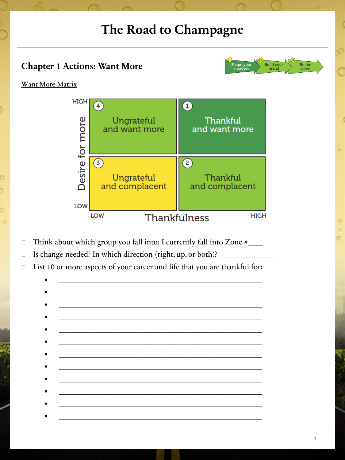## The Road to Champagne

## **Chapter 1 Actions: Want More**



## Want More Matrix



- Think about which group you fall into: I currently fall into Zone #\_\_\_\_\_\_  $\Box$
- Is change needed? In which direction (right, up, or both)? \_\_\_\_\_\_  $\Box$
- List 10 or more aspects of your career and life that you are thankful for:  $\Box$